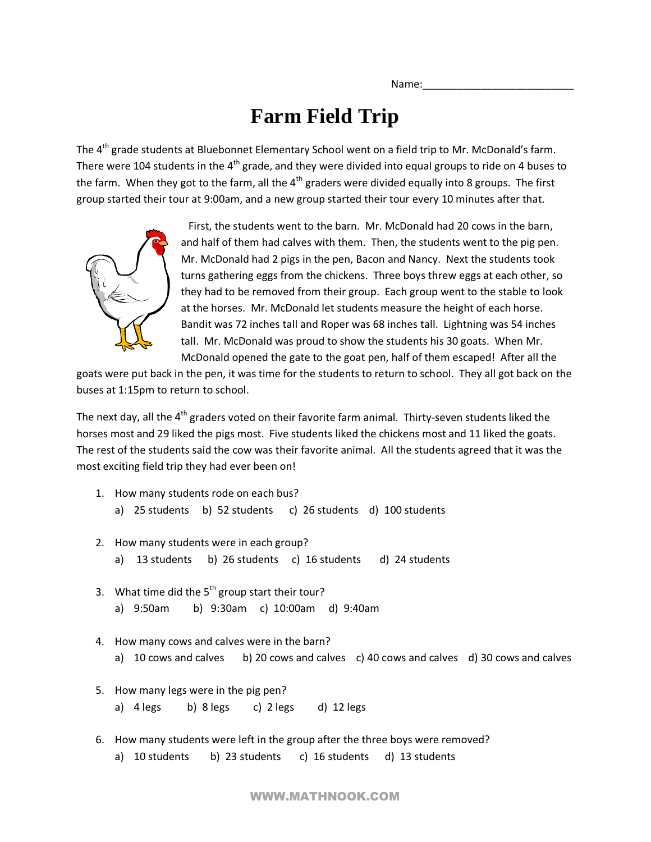Name:

## **Farm Field Trip**

The 4<sup>th</sup> grade students at Bluebonnet Elementary School went on a field trip to Mr. McDonald's farm. There were 104 students in the  $4<sup>th</sup>$  grade, and they were divided into equal groups to ride on 4 buses to the farm. When they got to the farm, all the  $4<sup>th</sup>$  graders were divided equally into 8 groups. The first group started their tour at 9:00am, and a new group started their tour every 10 minutes after that.



 First, the students went to the barn. Mr. McDonald had 20 cows in the barn, and half of them had calves with them. Then, the students went to the pig pen. Mr. McDonald had 2 pigs in the pen, Bacon and Nancy. Next the students took turns gathering eggs from the chickens. Three boys threw eggs at each other, so they had to be removed from their group. Each group went to the stable to look at the horses. Mr. McDonald let students measure the height of each horse. Bandit was 72 inches tall and Roper was 68 inches tall. Lightning was 54 inches tall. Mr. McDonald was proud to show the students his 30 goats. When Mr. McDonald opened the gate to the goat pen, half of them escaped! After all the

goats were put back in the pen, it was time for the students to return to school. They all got back on the buses at 1:15pm to return to school.

The next day, all the  $4^{th}$  graders voted on their favorite farm animal. Thirty-seven students liked the horses most and 29 liked the pigs most. Five students liked the chickens most and 11 liked the goats. The rest of the students said the cow was their favorite animal. All the students agreed that it was the most exciting field trip they had ever been on!

- 1. How many students rode on each bus? a) 25 students b) 52 students c) 26 students d) 100 students
- 2. How many students were in each group? a) 13 students b) 26 students c) 16 students d) 24 students
- 3. What time did the  $5<sup>th</sup>$  group start their tour? a) 9:50am b) 9:30am c) 10:00am d) 9:40am
- 4. How many cows and calves were in the barn? a) 10 cows and calves b) 20 cows and calves c) 40 cows and calves d) 30 cows and calves
- 5. How many legs were in the pig pen? a) 4 legs b) 8 legs c) 2 legs d) 12 legs
- 6. How many students were left in the group after the three boys were removed? a) 10 students b) 23 students c) 16 students d) 13 students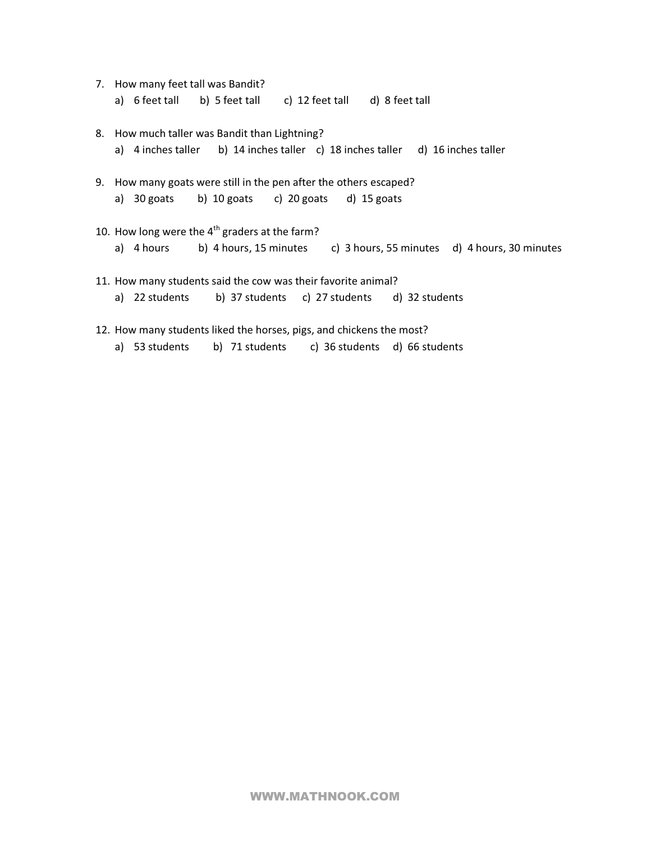| 7. How many feet tall was Bandit?                                                                                               |
|---------------------------------------------------------------------------------------------------------------------------------|
| a) 6 feet tall b) 5 feet tall c) 12 feet tall d) 8 feet tall                                                                    |
| 8. How much taller was Bandit than Lightning?<br>a) 4 inches taller b) 14 inches taller c) 18 inches taller d) 16 inches taller |
| 9. How many goats were still in the pen after the others escaped?<br>a) 30 goats b) 10 goats c) 20 goats d) 15 goats            |
| 10. How long were the $4^{th}$ graders at the farm?                                                                             |
| a) 4 hours b) 4 hours, 15 minutes c) 3 hours, 55 minutes d) 4 hours, 30 minutes                                                 |
| 11. How many students said the cow was their favorite animal?                                                                   |
| a) 22 students b) 37 students c) 27 students d) 32 students                                                                     |
| 12. How many students liked the horses, pigs, and chickens the most?                                                            |

a) 53 students b) 71 students c) 36 students d) 66 students